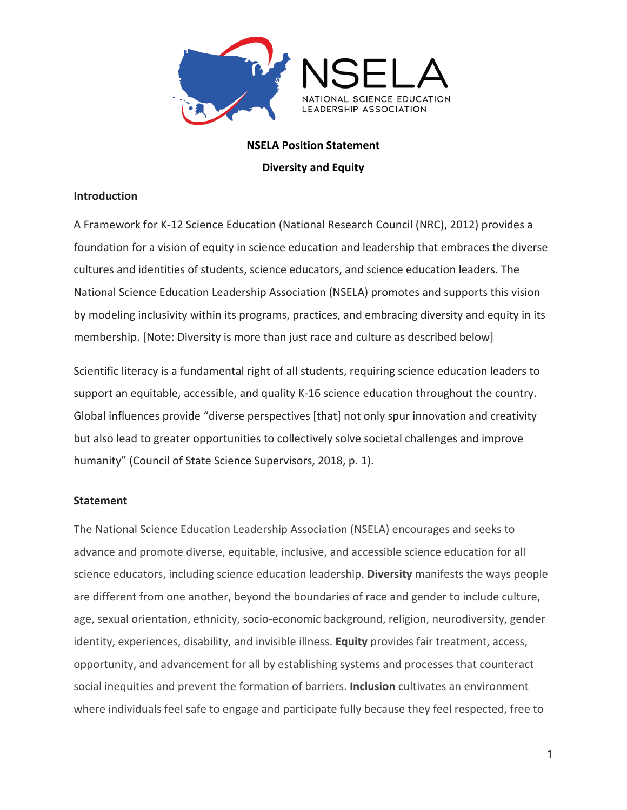

# **NSELA Position Statement**

**Diversity and Equity** 

## **Introduction**

A Framework for K-12 Science Education (National Research Council (NRC), 2012) provides a foundation for a vision of equity in science education and leadership that embraces the diverse cultures and identities of students, science educators, and science education leaders. The National Science Education Leadership Association (NSELA) promotes and supports this vision by modeling inclusivity within its programs, practices, and embracing diversity and equity in its membership. [Note: Diversity is more than just race and culture as described below]

Scientific literacy is a fundamental right of all students, requiring science education leaders to support an equitable, accessible, and quality K-16 science education throughout the country. Global influences provide "diverse perspectives [that] not only spur innovation and creativity but also lead to greater opportunities to collectively solve societal challenges and improve humanity" (Council of State Science Supervisors, 2018, p. 1).

## **Statement**

The National Science Education Leadership Association (NSELA) encourages and seeks to advance and promote diverse, equitable, inclusive, and accessible science education for all science educators, including science education leadership. **Diversity** manifests the ways people are different from one another, beyond the boundaries of race and gender to include culture, age, sexual orientation, ethnicity, socio-economic background, religion, neurodiversity, gender identity, experiences, disability, and invisible illness. **Equity** provides fair treatment, access, opportunity, and advancement for all by establishing systems and processes that counteract social inequities and prevent the formation of barriers. **Inclusion** cultivates an environment where individuals feel safe to engage and participate fully because they feel respected, free to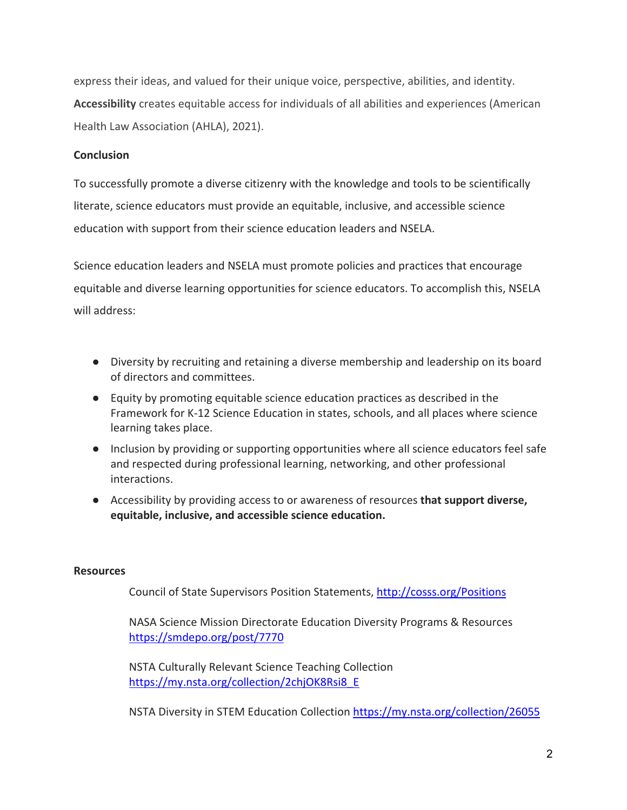express their ideas, and valued for their unique voice, perspective, abilities, and identity. **Accessibility** creates equitable access for individuals of all abilities and experiences (American Health Law Association (AHLA), 2021).

### **Conclusion**

To successfully promote a diverse citizenry with the knowledge and tools to be scientifically literate, science educators must provide an equitable, inclusive, and accessible science education with support from their science education leaders and NSELA.

Science education leaders and NSELA must promote policies and practices that encourage equitable and diverse learning opportunities for science educators. To accomplish this, NSELA will address:

- Diversity by recruiting and retaining a diverse membership and leadership on its board of directors and committees.
- Equity by promoting equitable science education practices as described in the Framework for K-12 Science Education in states, schools, and all places where science learning takes place.
- Inclusion by providing or supporting opportunities where all science educators feel safe and respected during professional learning, networking, and other professional interactions.
- Accessibility by providing access to or awareness of resources **that support diverse, equitable, inclusive, and accessible science education.**

#### **Resources**

Council of State Supervisors Position Statements,<http://cosss.org/Positions>

NASA Science Mission Directorate Education Diversity Programs & Resources <https://smdepo.org/post/7770>

NSTA Culturally Relevant Science Teaching Collection [https://my.nsta.org/collection/2chjOK8Rsi8\\_E](https://my.nsta.org/collection/2chjOK8Rsi8_E)

NSTA Diversity in STEM Education Collection<https://my.nsta.org/collection/26055>